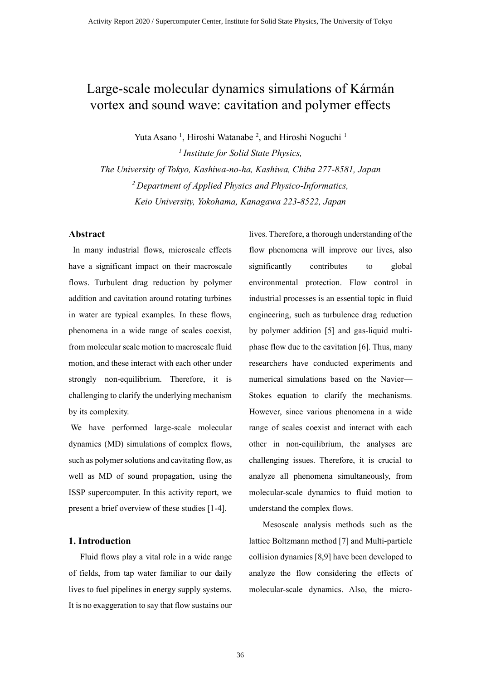# Large-scale molecular dynamics simulations of Kármán vortex and sound wave: cavitation and polymer effects

Yuta Asano<sup>1</sup>, Hiroshi Watanabe<sup>2</sup>, and Hiroshi Noguchi<sup>1</sup>

*1 Institute for Solid State Physics, The University of Tokyo, Kashiwa-no-ha, Kashiwa, Chiba 277-8581, Japan <sup>2</sup>Department of Applied Physics and Physico-Informatics, Keio University, Yokohama, Kanagawa 223-8522, Japan*

### **Abstract**

In many industrial flows, microscale effects have a significant impact on their macroscale flows. Turbulent drag reduction by polymer addition and cavitation around rotating turbines in water are typical examples. In these flows, phenomena in a wide range of scales coexist, from molecular scale motion to macroscale fluid motion, and these interact with each other under strongly non-equilibrium. Therefore, it is challenging to clarify the underlying mechanism by its complexity.

We have performed large-scale molecular dynamics (MD) simulations of complex flows, such as polymer solutions and cavitating flow, as well as MD of sound propagation, using the ISSP supercomputer. In this activity report, we present a brief overview of these studies [1-4].

#### **1. Introduction**

Fluid flows play a vital role in a wide range of fields, from tap water familiar to our daily lives to fuel pipelines in energy supply systems. It is no exaggeration to say that flow sustains our lives. Therefore, a thorough understanding of the flow phenomena will improve our lives, also significantly contributes to global environmental protection. Flow control in industrial processes is an essential topic in fluid engineering, such as turbulence drag reduction by polymer addition [5] and gas-liquid multiphase flow due to the cavitation [6]. Thus, many researchers have conducted experiments and numerical simulations based on the Navier— Stokes equation to clarify the mechanisms. However, since various phenomena in a wide range of scales coexist and interact with each other in non-equilibrium, the analyses are challenging issues. Therefore, it is crucial to analyze all phenomena simultaneously, from molecular-scale dynamics to fluid motion to understand the complex flows.

Mesoscale analysis methods such as the lattice Boltzmann method [7] and Multi-particle collision dynamics [8,9] have been developed to analyze the flow considering the effects of molecular-scale dynamics. Also, the micro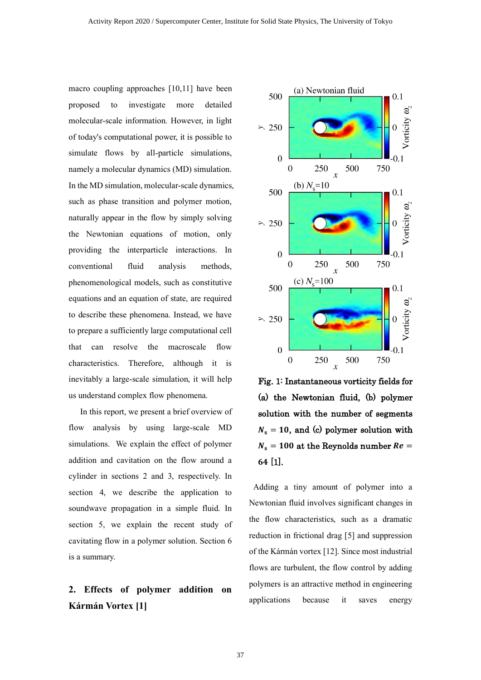macro coupling approaches [10,11] have been proposed to investigate more detailed molecular-scale information. However, in light of today's computational power, it is possible to simulate flows by all-particle simulations, namely a molecular dynamics (MD) simulation. In the MD simulation, molecular-scale dynamics, such as phase transition and polymer motion, naturally appear in the flow by simply solving the Newtonian equations of motion, only providing the interparticle interactions. In conventional fluid analysis methods, phenomenological models, such as constitutive equations and an equation of state, are required to describe these phenomena. Instead, we have to prepare a sufficiently large computational cell that can resolve the macroscale flow characteristics. Therefore, although it is inevitably a large-scale simulation, it will help us understand complex flow phenomena.

In this report, we present a brief overview of flow analysis by using large-scale MD simulations. We explain the effect of polymer addition and cavitation on the flow around a cylinder in sections 2 and 3, respectively. In section 4, we describe the application to soundwave propagation in a simple fluid. In section 5, we explain the recent study of cavitating flow in a polymer solution. Section 6 is a summary.

### **2. Effects of polymer addition on Kármán Vortex [1]**



Fig. 1: Instantaneous vorticity fields for (a) the Newtonian fluid, (b) polymer solution with the number of segments  $N_s = 10$ , and (c) polymer solution with  $N_s = 100$  at the Reynolds number  $Re =$ 64 [1].

Adding a tiny amount of polymer into a Newtonian fluid involves significant changes in the flow characteristics, such as a dramatic reduction in frictional drag [5] and suppression of the Kármán vortex [12]. Since most industrial flows are turbulent, the flow control by adding polymers is an attractive method in engineering applications because it saves energy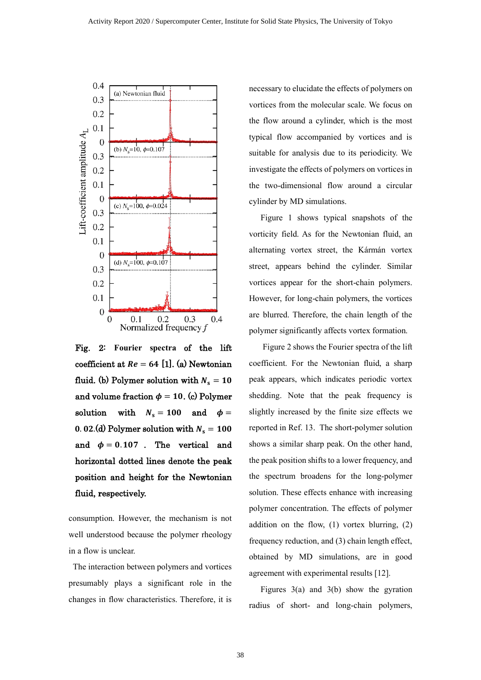

Fig. 2: **Fourier spectra** of the lift coefficient at  $Re = 64$  [1]. (a) Newtonian fluid. (b) Polymer solution with  $N_s = 10$ and volume fraction  $\phi = 10$ . (c) Polymer solution with  $N_s = 100$  and  $\phi =$ 0.02.(d) Polymer solution with  $N_s = 100$ and  $\phi = 0.107$ . The vertical and horizontal dotted lines denote the peak position and height for the Newtonian fluid, respectively.

consumption. However, the mechanism is not well understood because the polymer rheology in a flow is unclear.

The interaction between polymers and vortices presumably plays a significant role in the changes in flow characteristics. Therefore, it is necessary to elucidate the effects of polymers on vortices from the molecular scale. We focus on the flow around a cylinder, which is the most typical flow accompanied by vortices and is suitable for analysis due to its periodicity. We investigate the effects of polymers on vortices in the two-dimensional flow around a circular cylinder by MD simulations.

Figure 1 shows typical snapshots of the vorticity field. As for the Newtonian fluid, an alternating vortex street, the Kármán vortex street, appears behind the cylinder. Similar vortices appear for the short-chain polymers. However, for long-chain polymers, the vortices are blurred. Therefore, the chain length of the polymer significantly affects vortex formation.

Figure 2 shows the Fourier spectra of the lift coefficient. For the Newtonian fluid, a sharp peak appears, which indicates periodic vortex shedding. Note that the peak frequency is slightly increased by the finite size effects we reported in Ref. 13. The short-polymer solution shows a similar sharp peak. On the other hand, the peak position shifts to a lower frequency, and the spectrum broadens for the long-polymer solution. These effects enhance with increasing polymer concentration. The effects of polymer addition on the flow, (1) vortex blurring, (2) frequency reduction, and (3) chain length effect, obtained by MD simulations, are in good agreement with experimental results [12].

Figures 3(a) and 3(b) show the gyration radius of short- and long-chain polymers,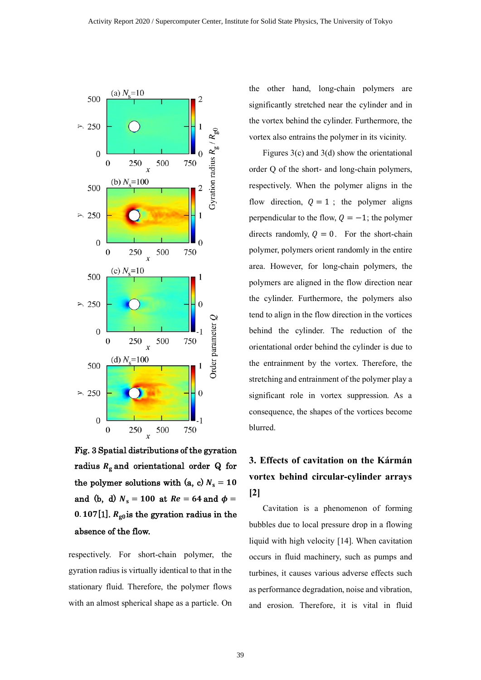

Fig. 3 Spatial distributions of the gyration radius  $R_{\rm g}$  and orientational order Q for the polymer solutions with (a, c)  $N_s = 10$ and (b, d)  $N_s = 100$  at  $Re = 64$  and  $\phi =$ 0.107[1].  $R_{\text{g0}}$  is the gyration radius in the absence of the flow.

respectively. For short-chain polymer, the gyration radius is virtually identical to that in the stationary fluid. Therefore, the polymer flows with an almost spherical shape as a particle. On the other hand, long-chain polymers are significantly stretched near the cylinder and in the vortex behind the cylinder. Furthermore, the vortex also entrains the polymer in its vicinity.

Figures 3(c) and 3(d) show the orientational order Q of the short- and long-chain polymers, respectively. When the polymer aligns in the flow direction,  $Q = 1$ ; the polymer aligns perpendicular to the flow,  $Q = -1$ ; the polymer directs randomly,  $Q = 0$ . For the short-chain polymer, polymers orient randomly in the entire area. However, for long-chain polymers, the polymers are aligned in the flow direction near the cylinder. Furthermore, the polymers also tend to align in the flow direction in the vortices behind the cylinder. The reduction of the orientational order behind the cylinder is due to the entrainment by the vortex. Therefore, the stretching and entrainment of the polymer play a significant role in vortex suppression. As a consequence, the shapes of the vortices become blurred.

## **3. Effects of cavitation on the Kármán vortex behind circular-cylinder arrays [2]**

Cavitation is a phenomenon of forming bubbles due to local pressure drop in a flowing liquid with high velocity [14]. When cavitation occurs in fluid machinery, such as pumps and turbines, it causes various adverse effects such as performance degradation, noise and vibration, and erosion. Therefore, it is vital in fluid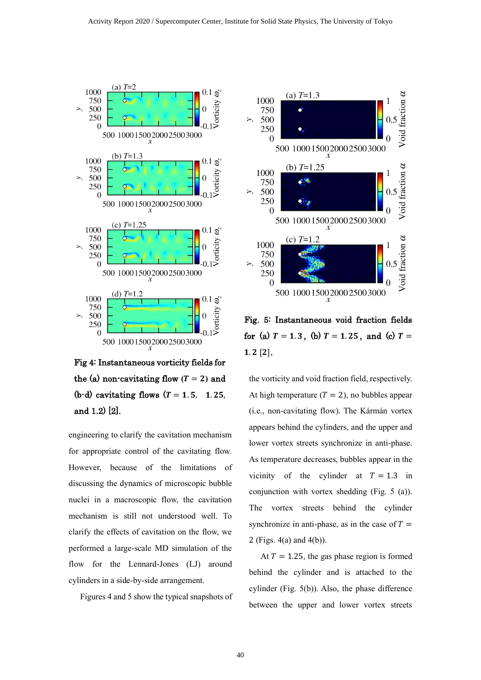

Fig 4: Instantaneous vorticity fields for the (a) non-cavitating flow  $(T = 2)$  and (b-d) cavitating flows  $(T = 1.5, 1.25,$ and 1.2) [2].

engineering to clarify the cavitation mechanism for appropriate control of the cavitating flow. However, because of the limitations of discussing the dynamics of microscopic bubble nuclei in a macroscopic flow, the cavitation mechanism is still not understood well. To clarify the effects of cavitation on the flow, we performed a large-scale MD simulation of the flow for the Lennard-Jones (LJ) around cylinders in a side-by-side arrangement.

Figures 4 and 5 show the typical snapshots of



Fig. 5: Instantaneous void fraction fields for (a)  $T = 1.3$ , (b)  $T = 1.25$ , and (c)  $T =$  $1.2$  [2].

the vorticity and void fraction field, respectively. At high temperature  $(T = 2)$ , no bubbles appear (i.e., non-cavitating flow). The Kármán vortex appears behind the cylinders, and the upper and lower vortex streets synchronize in anti-phase. As temperature decreases, bubbles appear in the vicinity of the cylinder at  $T = 1.3$  in conjunction with vortex shedding (Fig. 5 (a)). The vortex streets behind the cylinder synchronize in anti-phase, as in the case of  $T =$ 2 (Figs. 4(a) and 4(b)).

At  $T = 1.25$ , the gas phase region is formed behind the cylinder and is attached to the cylinder (Fig. 5(b)). Also, the phase difference between the upper and lower vortex streets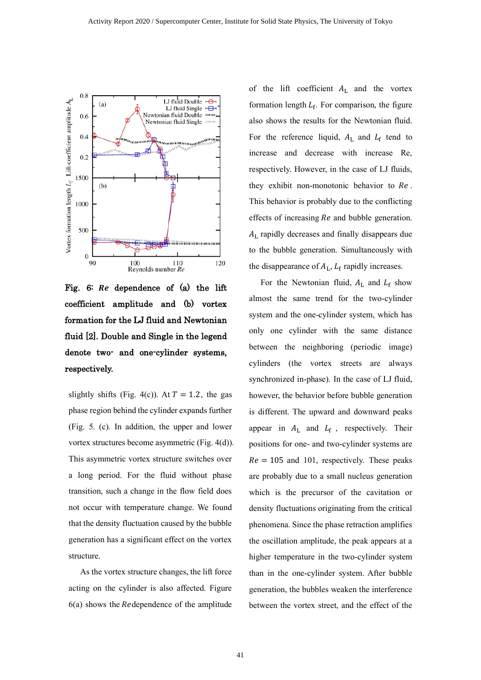

Fig. 6: Re dependence of (a) the lift coefficient amplitude and (b) vortex formation for the LJ fluid and Newtonian fluid [2]. Double and Single in the legend denote two- and one-cylinder systems, respectively.

slightly shifts (Fig. 4(c)). At  $T = 1.2$ , the gas phase region behind the cylinder expands further (Fig. 5. (c). In addition, the upper and lower vortex structures become asymmetric (Fig. 4(d)). This asymmetric vortex structure switches over a long period. For the fluid without phase transition, such a change in the flow field does not occur with temperature change. We found that the density fluctuation caused by the bubble generation has a significant effect on the vortex structure.

As the vortex structure changes, the lift force acting on the cylinder is also affected. Figure  $6(a)$  shows the Redependence of the amplitude

of the lift coefficient  $A_L$  and the vortex formation length  $L_f$ . For comparison, the figure also shows the results for the Newtonian fluid. For the reference liquid,  $A_L$  and  $L_f$  tend to increase and decrease with increase Re, respectively. However, in the case of LJ fluids, they exhibit non-monotonic behavior to  $Re$ . This behavior is probably due to the conflicting effects of increasing  $Re$  and bubble generation. L rapidly decreases and finally disappears due to the bubble generation. Simultaneously with the disappearance of  $A_L$ ,  $L_f$  rapidly increases.

For the Newtonian fluid,  $A_L$  and  $L_f$  show almost the same trend for the two-cylinder system and the one-cylinder system, which has only one cylinder with the same distance between the neighboring (periodic image) cylinders (the vortex streets are always synchronized in-phase). In the case of LJ fluid, however, the behavior before bubble generation is different. The upward and downward peaks appear in  $A_L$  and  $L_f$ , respectively. Their positions for one- and two-cylinder systems are  $Re = 105$  and 101, respectively. These peaks are probably due to a small nucleus generation which is the precursor of the cavitation or density fluctuations originating from the critical phenomena. Since the phase retraction amplifies the oscillation amplitude, the peak appears at a higher temperature in the two-cylinder system than in the one-cylinder system. After bubble generation, the bubbles weaken the interference between the vortex street, and the effect of the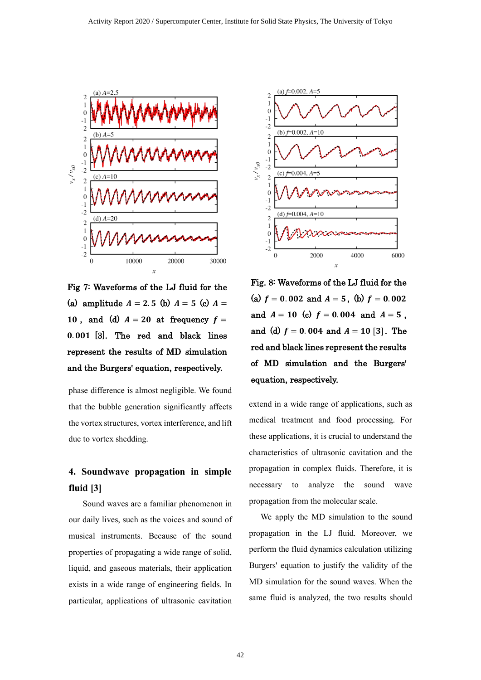

Fig 7: Waveforms of the LJ fluid for the (a) amplitude  $A = 2.5$  (b)  $A = 5$  (c)  $A =$ 10, and (d)  $A = 20$  at frequency  $f =$  $0.001$   $[3]$ . The red and black lines represent the results of MD simulation and the Burgers' equation, respectively.

phase difference is almost negligible. We found that the bubble generation significantly affects the vortex structures, vortex interference, and lift due to vortex shedding.

## **4. Soundwave propagation in simple fluid [3]**

Sound waves are a familiar phenomenon in our daily lives, such as the voices and sound of musical instruments. Because of the sound properties of propagating a wide range of solid, liquid, and gaseous materials, their application exists in a wide range of engineering fields. In particular, applications of ultrasonic cavitation



Fig. 8: Waveforms of the LJ fluid for the (a)  $f = 0.002$  and  $A = 5$ , (b)  $f = 0.002$ and  $A = 10$  (c)  $f = 0.004$  and  $A = 5$ , and (d)  $f = 0.004$  and  $A = 10$  [3]. The red and black lines represent the results of MD simulation and the Burgers' equation, respectively.

extend in a wide range of applications, such as medical treatment and food processing. For these applications, it is crucial to understand the characteristics of ultrasonic cavitation and the propagation in complex fluids. Therefore, it is necessary to analyze the sound wave propagation from the molecular scale.

We apply the MD simulation to the sound propagation in the LJ fluid. Moreover, we perform the fluid dynamics calculation utilizing Burgers' equation to justify the validity of the MD simulation for the sound waves. When the same fluid is analyzed, the two results should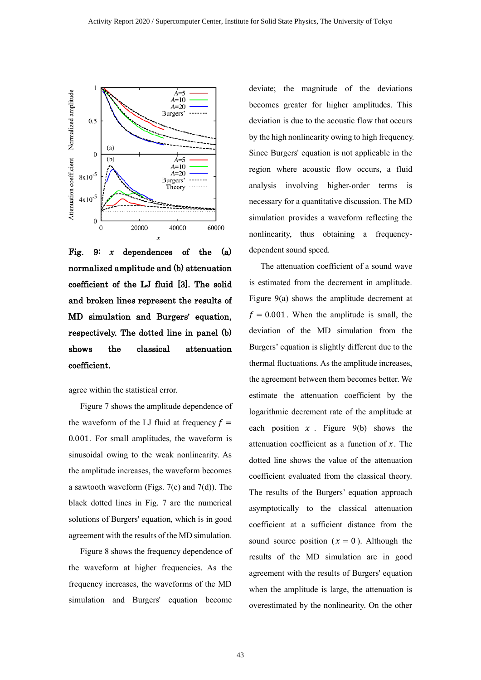

Fig. 9:  $x$  dependences of the  $(a)$ normalized amplitude and (b) attenuation coefficient of the LJ fluid [3]. The solid and broken lines represent the results of MD simulation and Burgers' equation, respectively. The dotted line in panel (b) shows the classical attenuation coefficient.

agree within the statistical error.

Figure 7 shows the amplitude dependence of the waveform of the LJ fluid at frequency  $f =$ 0.001 . For small amplitudes, the waveform is sinusoidal owing to the weak nonlinearity. As the amplitude increases, the waveform becomes a sawtooth waveform (Figs. 7(c) and 7(d)). The black dotted lines in Fig. 7 are the numerical solutions of Burgers' equation, which is in good agreement with the results of the MD simulation.

Figure 8 shows the frequency dependence of the waveform at higher frequencies. As the frequency increases, the waveforms of the MD simulation and Burgers' equation become

deviate; the magnitude of the deviations becomes greater for higher amplitudes. This deviation is due to the acoustic flow that occurs by the high nonlinearity owing to high frequency. Since Burgers' equation is not applicable in the region where acoustic flow occurs, a fluid analysis involving higher-order terms is necessary for a quantitative discussion. The MD simulation provides a waveform reflecting the nonlinearity, thus obtaining a frequencydependent sound speed.

The attenuation coefficient of a sound wave is estimated from the decrement in amplitude. Figure 9(a) shows the amplitude decrement at  $f = 0.001$ . When the amplitude is small, the deviation of the MD simulation from the Burgers' equation is slightly different due to the thermal fluctuations. As the amplitude increases, the agreement between them becomes better. We estimate the attenuation coefficient by the logarithmic decrement rate of the amplitude at each position  $x$ . Figure 9(b) shows the attenuation coefficient as a function of  $x$ . The dotted line shows the value of the attenuation coefficient evaluated from the classical theory. The results of the Burgers' equation approach asymptotically to the classical attenuation coefficient at a sufficient distance from the sound source position  $(x = 0)$ . Although the results of the MD simulation are in good agreement with the results of Burgers' equation when the amplitude is large, the attenuation is overestimated by the nonlinearity. On the other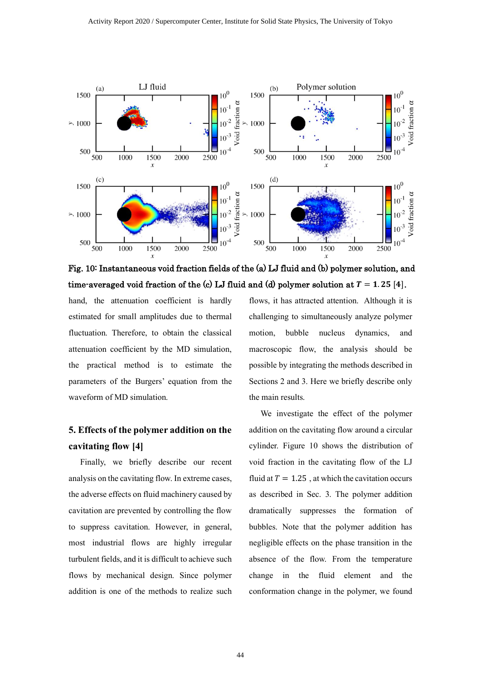

Fig. 10: Instantaneous void fraction fields of the (a) LJ fluid and (b) polymer solution, and time-averaged void fraction of the (c) LJ fluid and (d) polymer solution at  $T = 1.25$  [4].

hand, the attenuation coefficient is hardly estimated for small amplitudes due to thermal fluctuation. Therefore, to obtain the classical attenuation coefficient by the MD simulation, the practical method is to estimate the parameters of the Burgers' equation from the waveform of MD simulation.

### **5. Effects of the polymer addition on the cavitating flow [4]**

Finally, we briefly describe our recent analysis on the cavitating flow. In extreme cases, the adverse effects on fluid machinery caused by cavitation are prevented by controlling the flow to suppress cavitation. However, in general, most industrial flows are highly irregular turbulent fields, and it is difficult to achieve such flows by mechanical design. Since polymer addition is one of the methods to realize such flows, it has attracted attention. Although it is challenging to simultaneously analyze polymer motion, bubble nucleus dynamics, and macroscopic flow, the analysis should be possible by integrating the methods described in Sections 2 and 3. Here we briefly describe only the main results.

We investigate the effect of the polymer addition on the cavitating flow around a circular cylinder. Figure 10 shows the distribution of void fraction in the cavitating flow of the LJ fluid at  $T = 1.25$ , at which the cavitation occurs as described in Sec. 3. The polymer addition dramatically suppresses the formation of bubbles. Note that the polymer addition has negligible effects on the phase transition in the absence of the flow. From the temperature change in the fluid element and the conformation change in the polymer, we found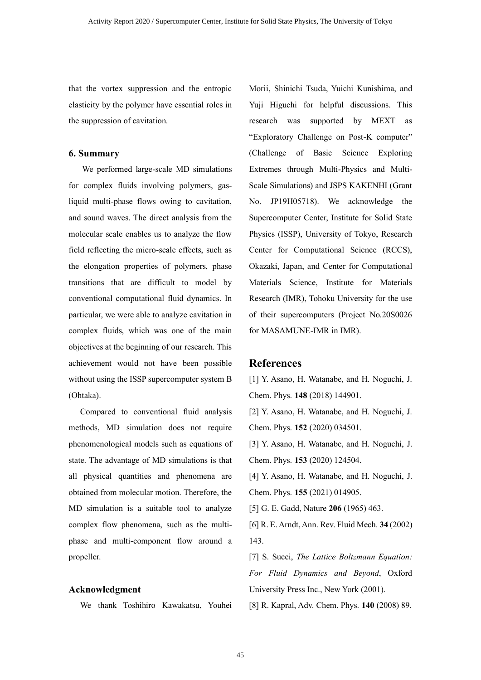that the vortex suppression and the entropic elasticity by the polymer have essential roles in the suppression of cavitation.

#### **6. Summary**

We performed large-scale MD simulations for complex fluids involving polymers, gasliquid multi-phase flows owing to cavitation, and sound waves. The direct analysis from the molecular scale enables us to analyze the flow field reflecting the micro-scale effects, such as the elongation properties of polymers, phase transitions that are difficult to model by conventional computational fluid dynamics. In particular, we were able to analyze cavitation in complex fluids, which was one of the main objectives at the beginning of our research. This achievement would not have been possible without using the ISSP supercomputer system B (Ohtaka).

Compared to conventional fluid analysis methods, MD simulation does not require phenomenological models such as equations of state. The advantage of MD simulations is that all physical quantities and phenomena are obtained from molecular motion. Therefore, the MD simulation is a suitable tool to analyze complex flow phenomena, such as the multiphase and multi-component flow around a propeller.

### **Acknowledgment**

We thank Toshihiro Kawakatsu, Youhei

Morii, Shinichi Tsuda, Yuichi Kunishima, and Yuji Higuchi for helpful discussions. This research was supported by MEXT as "Exploratory Challenge on Post-K computer" (Challenge of Basic Science Exploring Extremes through Multi-Physics and Multi-Scale Simulations) and JSPS KAKENHI (Grant No. JP19H05718). We acknowledge the Supercomputer Center, Institute for Solid State Physics (ISSP), University of Tokyo, Research Center for Computational Science (RCCS), Okazaki, Japan, and Center for Computational Materials Science, Institute for Materials Research (IMR), Tohoku University for the use of their supercomputers (Project No.20S0026 for MASAMUNE-IMR in IMR).

### **References**

[1] Y. Asano, H. Watanabe, and H. Noguchi, J. Chem. Phys. **148** (2018) 144901.

[2] Y. Asano, H. Watanabe, and H. Noguchi, J. Chem. Phys. **152** (2020) 034501.

[3] Y. Asano, H. Watanabe, and H. Noguchi, J. Chem. Phys. **153** (2020) 124504.

[4] Y. Asano, H. Watanabe, and H. Noguchi, J. Chem. Phys. **155** (2021) 014905.

[5] G. E. Gadd, Nature **206** (1965) 463.

[6] R. E. Arndt, Ann. Rev. Fluid Mech. **34** (2002) 143.

[7] S. Succi, *The Lattice Boltzmann Equation: For Fluid Dynamics and Beyond*, Oxford University Press Inc., New York (2001).

[8] R. Kapral, Adv. Chem. Phys. **140** (2008) 89.